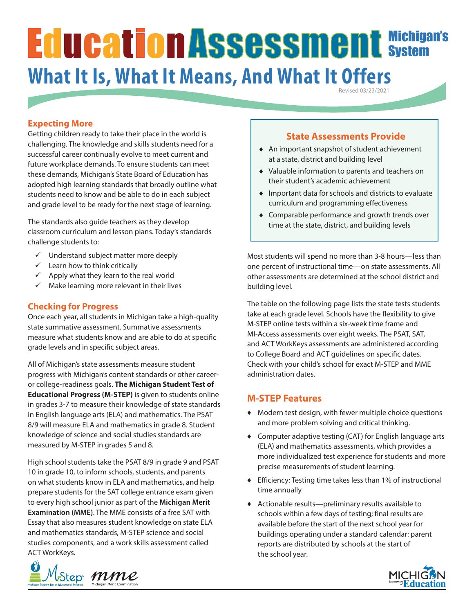# Michigan's System **What It Is, What It Means, And What It Offers**

Revised 03/23/2021

## **Expecting More**

Getting children ready to take their place in the world is challenging. The knowledge and skills students need for a successful career continually evolve to meet current and future workplace demands. To ensure students can meet these demands, Michigan's State Board of Education has adopted high learning standards that broadly outline what students need to know and be able to do in each subject and grade level to be ready for the next stage of learning.

The standards also guide teachers as they develop classroom curriculum and lesson plans. Today's standards challenge students to:

- $\checkmark$  Understand subject matter more deeply
- $\checkmark$  Learn how to think critically
- $\checkmark$  Apply what they learn to the real world
- $\checkmark$  Make learning more relevant in their lives

#### **Checking for Progress**

Once each year, all students in Michigan take a high-quality state summative assessment. Summative assessments measure what students know and are able to do at specific grade levels and in specific subject areas.

All of Michigan's state assessments measure student progress with Michigan's content standards or other careeror college-readiness goals. **The Michigan Student Test of Educational Progress (M-STEP)** is given to students online in grades 3-7 to measure their knowledge of state standards in English language arts (ELA) and mathematics. The PSAT 8/9 will measure ELA and mathematics in grade 8. Student knowledge of science and social studies standards are measured by M-STEP in grades 5 and 8.

High school students take the PSAT 8/9 in grade 9 and PSAT 10 in grade 10, to inform schools, students, and parents on what students know in ELA and mathematics, and help prepare students for the SAT college entrance exam given to every high school junior as part of the **Michigan Merit Examination (MME)**. The MME consists of a free SAT with Essay that also measures student knowledge on state ELA and mathematics standards, M-STEP science and social studies components, and a work skills assessment called ACT WorkKeys.



#### **State Assessments Provide**

- ♦ An important snapshot of student achievement at a state, district and building level
- ♦ Valuable information to parents and teachers on their student's academic achievement
- ♦ Important data for schools and districts to evaluate curriculum and programming effectiveness
- ♦ Comparable performance and growth trends over time at the state, district, and building levels

Most students will spend no more than 3-8 hours—less than one percent of instructional time—on state assessments. All other assessments are determined at the school district and building level.

The table on the following page lists the state tests students take at each grade level. Schools have the flexibility to give M-STEP online tests within a six-week time frame and MI-Access assessments over eight weeks. The PSAT, SAT, and ACT WorkKeys assessments are administered according to College Board and ACT guidelines on specific dates. Check with your child's school for exact M-STEP and MME administration dates.

#### **M-STEP Features**

- ♦ Modern test design, with fewer multiple choice questions and more problem solving and critical thinking.
- ♦ Computer adaptive testing (CAT) for English language arts (ELA) and mathematics assessments, which provides a more individualized test experience for students and more precise measurements of student learning.
- ♦ Efficiency: Testing time takes less than 1% of instructional time annually
- ♦ Actionable results—preliminary results available to schools within a few days of testing; final results are available before the start of the next school year for buildings operating under a standard calendar: parent reports are distributed by schools at the start of the school year.